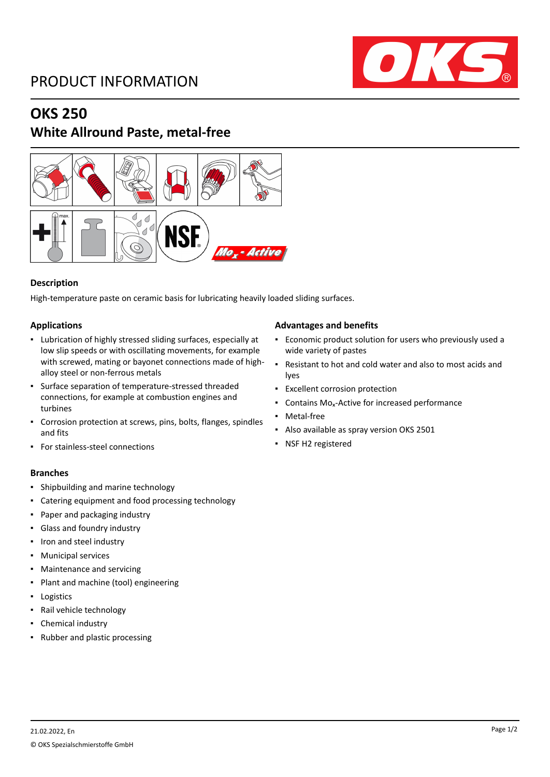## PRODUCT INFORMATION



### **OKS 250**

### **White Allround Paste, metal-free**



### **Description**

High-temperature paste on ceramic basis for lubricating heavily loaded sliding surfaces.

### **Applications**

- Lubrication of highly stressed sliding surfaces, especially at low slip speeds or with oscillating movements, for example with screwed, mating or bayonet connections made of highalloy steel or non-ferrous metals
- Surface separation of temperature-stressed threaded connections, for example at combustion engines and turbines
- Corrosion protection at screws, pins, bolts, flanges, spindles and fits
- For stainless-steel connections

### **Branches**

- Shipbuilding and marine technology
- Catering equipment and food processing technology
- Paper and packaging industry
- Glass and foundry industry
- Iron and steel industry
- Municipal services
- Maintenance and servicing
- Plant and machine (tool) engineering
- Logistics
- Rail vehicle technology
- Chemical industry
- Rubber and plastic processing

### **Advantages and benefits**

- Economic product solution for users who previously used a wide variety of pastes
- Resistant to hot and cold water and also to most acids and lyes
- Excellent corrosion protection
- Contains Mo<sub>x</sub>-Active for increased performance
- Metal-free
- Also available as spray version OKS 2501
- NSF H2 registered